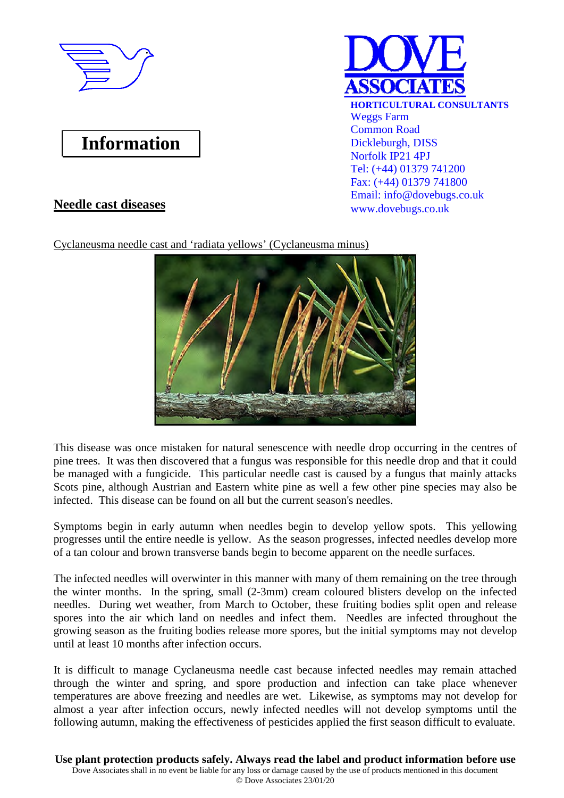

## **Information**



Cyclaneusma needle cast and 'radiata yellows' (Cyclaneusma minus)



This disease was once mistaken for natural senescence with needle drop occurring in the centres of pine trees. It was then discovered that a fungus was responsible for this needle drop and that it could be managed with a fungicide. This particular needle cast is caused by a fungus that mainly attacks Scots pine, although Austrian and Eastern white pine as well a few other pine species may also be infected. This disease can be found on all but the current season's needles.

Symptoms begin in early autumn when needles begin to develop yellow spots. This yellowing progresses until the entire needle is yellow. As the season progresses, infected needles develop more of a tan colour and brown transverse bands begin to become apparent on the needle surfaces.

The infected needles will overwinter in this manner with many of them remaining on the tree through the winter months. In the spring, small (2-3mm) cream coloured blisters develop on the infected needles. During wet weather, from March to October, these fruiting bodies split open and release spores into the air which land on needles and infect them. Needles are infected throughout the growing season as the fruiting bodies release more spores, but the initial symptoms may not develop until at least 10 months after infection occurs.

It is difficult to manage Cyclaneusma needle cast because infected needles may remain attached through the winter and spring, and spore production and infection can take place whenever temperatures are above freezing and needles are wet. Likewise, as symptoms may not develop for almost a year after infection occurs, newly infected needles will not develop symptoms until the following autumn, making the effectiveness of pesticides applied the first season difficult to evaluate.